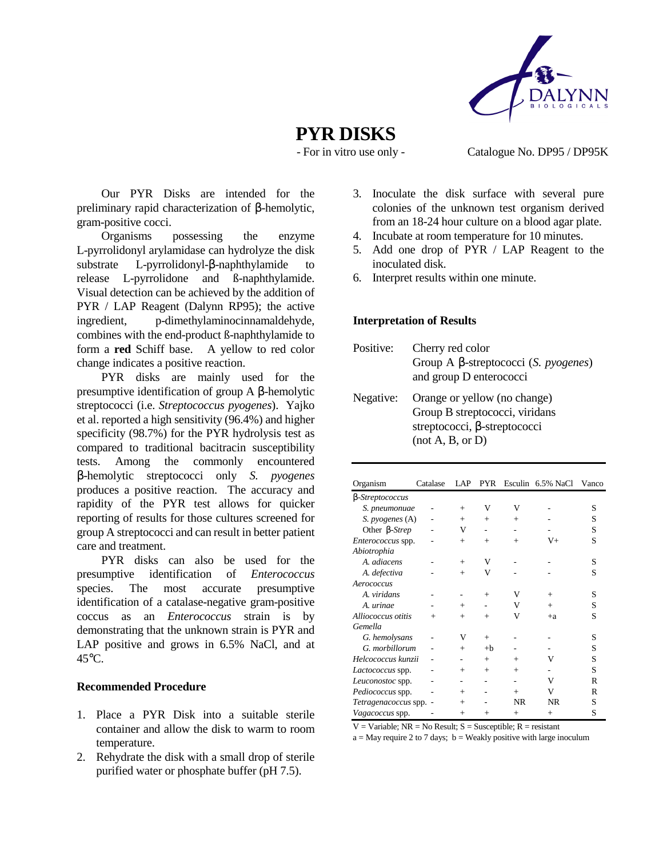

# **PYR DISKS**

- For in vitro use only - Catalogue No. DP95 / DP95K

 Our PYR Disks are intended for the preliminary rapid characterization of β-hemolytic, gram-positive cocci.

 Organisms possessing the enzyme L-pyrrolidonyl arylamidase can hydrolyze the disk substrate L-pyrrolidonyl-β-naphthylamide to release L-pyrrolidone and ß-naphthylamide. Visual detection can be achieved by the addition of PYR / LAP Reagent (Dalynn RP95); the active ingredient, p-dimethylaminocinnamaldehyde, combines with the end-product ß-naphthylamide to form a **red** Schiff base. A yellow to red color change indicates a positive reaction.

 PYR disks are mainly used for the presumptive identification of group A β-hemolytic streptococci (i.e. *Streptococcus pyogenes*). Yajko et al. reported a high sensitivity (96.4%) and higher specificity (98.7%) for the PYR hydrolysis test as compared to traditional bacitracin susceptibility tests. Among the commonly encountered β-hemolytic streptococci only *S. pyogenes* produces a positive reaction. The accuracy and rapidity of the PYR test allows for quicker reporting of results for those cultures screened for group A streptococci and can result in better patient care and treatment.

 PYR disks can also be used for the presumptive identification of *Enterococcus* species. The most accurate presumptive identification of a catalase-negative gram-positive coccus as an *Enterococcus* strain is by demonstrating that the unknown strain is PYR and LAP positive and grows in 6.5% NaCl, and at 45°C.

#### **Recommended Procedure**

- 1. Place a PYR Disk into a suitable sterile container and allow the disk to warm to room temperature.
- 2. Rehydrate the disk with a small drop of sterile purified water or phosphate buffer (pH 7.5).
- 3. Inoculate the disk surface with several pure colonies of the unknown test organism derived from an 18-24 hour culture on a blood agar plate.
- 4. Incubate at room temperature for 10 minutes.
- 5. Add one drop of PYR / LAP Reagent to the inoculated disk.
- 6. Interpret results within one minute.

#### **Interpretation of Results**

| Positive: | Cherry red color<br>Group A $\beta$ -streptococci (S. <i>pyogenes</i> )<br>and group D enterococci                        |
|-----------|---------------------------------------------------------------------------------------------------------------------------|
| Negative: | Orange or yellow (no change)<br>Group B streptococci, viridans<br>streptococci, $\beta$ -streptococci<br>(not A, B, or D) |

| Organism                 | Catalase | LAP    | <b>PYR</b> |           | Esculin 6.5% NaCl | Vanco |
|--------------------------|----------|--------|------------|-----------|-------------------|-------|
| β-Streptococcus          |          |        |            |           |                   |       |
| S. pneumonuae            |          | $^{+}$ | V          | V         |                   | S     |
| S. pyogenes (A)          |          | $^{+}$ | $^{+}$     | $^{+}$    |                   | S     |
| Other <i>β-Strep</i>     |          | v      |            |           |                   | S     |
| <i>Enterococcus</i> spp. |          | $+$    | $+$        | $+$       | V+                | S     |
| Abiotrophia              |          |        |            |           |                   |       |
| A. adiacens              |          | $^{+}$ | V          |           |                   | S     |
| A. defectiva             |          | $^{+}$ | V          |           |                   | S     |
| Aerococcus               |          |        |            |           |                   |       |
| A. viridans              |          |        | $+$        | V         | $+$               | S     |
| A. uringe                |          | $^{+}$ |            | V         | $+$               | S     |
| Alliococcus otitis       | $^{+}$   | $^{+}$ | $^{+}$     | V         | $+a$              | S     |
| Gemella                  |          |        |            |           |                   |       |
| G. hemolysans            |          | V      | $+$        |           |                   | S     |
| G. morbillorum           |          | $^{+}$ | $+b$       |           |                   | S     |
| Helcococcus kunzii       |          |        | $+$        | $^{+}$    | V                 | S     |
| Lactococcus spp.         |          | $^{+}$ | $+$        | $+$       |                   | S     |
| Leuconostoc spp.         |          |        |            |           | V                 | R     |
| Pediococcus spp.         |          | $^{+}$ |            | $+$       | V                 | R     |
| Tetragenacoccus spp. -   |          | $^{+}$ |            | <b>NR</b> | <b>NR</b>         | S     |
| <i>Vagacoccus</i> spp.   |          | $^{+}$ | $+$        | $+$       | $^{+}$            | S     |

 $V = \text{Variable}$ ;  $NR = \text{No Result}$ ;  $S = \text{Susceptible}$ ;  $R = \text{resistant}$ 

 $a = May$  require 2 to 7 days;  $b = Weakly$  positive with large inoculum